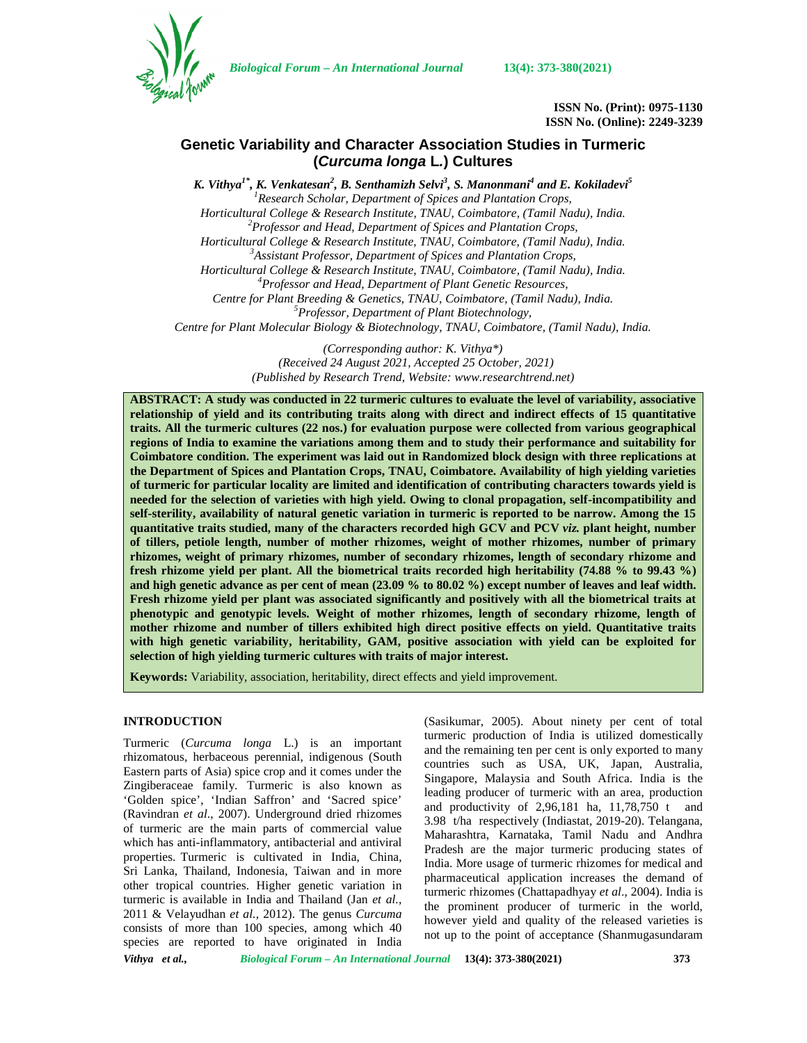

*Biological Forum – An International Journal* **13(4): 373-380(2021)**

**ISSN No. (Print): 0975-1130 ISSN No. (Online): 2249-3239**

# **Genetic Variability and Character Association Studies in Turmeric (***Curcuma longa* **L***.***) Cultures**

*K. Vithya1\*, K. Venkatesan<sup>2</sup> , B. Senthamizh Selvi<sup>3</sup> , S. Manonmani<sup>4</sup> and E. Kokiladevi<sup>5</sup> <sup>1</sup>Research Scholar, Department of Spices and Plantation Crops, Horticultural College & Research Institute, TNAU, Coimbatore, (Tamil Nadu), India. <sup>2</sup>Professor and Head, Department of Spices and Plantation Crops, Horticultural College & Research Institute, TNAU, Coimbatore, (Tamil Nadu), India. <sup>3</sup>Assistant Professor, Department of Spices and Plantation Crops, Horticultural College & Research Institute, TNAU, Coimbatore, (Tamil Nadu), India. <sup>4</sup>Professor and Head, Department of Plant Genetic Resources, Centre for Plant Breeding & Genetics, TNAU, Coimbatore, (Tamil Nadu), India. <sup>5</sup>Professor, Department of Plant Biotechnology, Centre for Plant Molecular Biology & Biotechnology, TNAU, Coimbatore, (Tamil Nadu), India.*

> *(Corresponding author: K. Vithya\*) (Received 24 August 2021, Accepted 25 October, 2021) (Published by Research Trend, Website: [www.researchtrend.net\)](www.researchtrend.net)*

**ABSTRACT: A study was conducted in 22 turmeric cultures to evaluate the level of variability, associative relationship of yield and its contributing traits along with direct and indirect effects of 15 quantitative traits. All the turmeric cultures (22 nos.) for evaluation purpose were collected from various geographical regions of India to examine the variations among them and to study their performance and suitability for Coimbatore condition. The experiment was laid out in Randomized block design with three replications at the Department of Spices and Plantation Crops, TNAU, Coimbatore. Availability of high yielding varieties of turmeric for particular locality are limited and identification of contributing characters towards yield is needed for the selection of varieties with high yield. Owing to clonal propagation, self-incompatibility and self-sterility, availability of natural genetic variation in turmeric is reported to be narrow. Among the 15 quantitative traits studied, many of the characters recorded high GCV and PCV** *viz.* **plant height, number of tillers, petiole length, number of mother rhizomes, weight of mother rhizomes, number of primary rhizomes, weight of primary rhizomes, number of secondary rhizomes, length of secondary rhizome and fresh rhizome yield per plant. All the biometrical traits recorded high heritability (74.88 % to 99.43 %) and high genetic advance as per cent of mean (23.09 % to 80.02 %) except number of leaves and leaf width. Fresh rhizome yield per plant was associated significantly and positively with all the biometrical traits at phenotypic and genotypic levels. Weight of mother rhizomes, length of secondary rhizome, length of mother rhizome and number of tillers exhibited high direct positive effects on yield. Quantitative traits with high genetic variability, heritability, GAM, positive association with yield can be exploited for selection of high yielding turmeric cultures with traits of major interest.**

**Keywords:** Variability, association, heritability, direct effects and yield improvement.

## **INTRODUCTION**

Turmeric (*Curcuma longa* L.) is an important rhizomatous, herbaceous perennial, indigenous (South Eastern parts of Asia) spice crop and it comes under the Zingiberaceae family. Turmeric is also known as 'Golden spice', 'Indian Saffron' and 'Sacred spice' (Ravindran *et al*., 2007). Underground dried rhizomes of turmeric are the main parts of commercial value which has anti-inflammatory, antibacterial and antiviral properties. Turmeric is cultivated in India, China, Sri Lanka, Thailand, Indonesia, Taiwan and in more other tropical countries. Higher genetic variation in turmeric is available in India and Thailand (Jan *et al.,* 2011 & Velayudhan *et al.,* 2012). The genus *Curcuma* consists of more than 100 species, among which 40 species are reported to have originated in India

(Sasikumar, 2005). About ninety per cent of total turmeric production of India is utilized domestically and the remaining ten per cent is only exported to many countries such as USA, UK, Japan, Australia, Singapore, Malaysia and South Africa. India is the leading producer of turmeric with an area, production and productivity of  $2.96,181$  ha,  $11,78,750$  t and 3.98 t/ha respectively (Indiastat, 2019-20). Telangana, Maharashtra, Karnataka, Tamil Nadu and Andhra Pradesh are the major turmeric producing states of India. More usage of turmeric rhizomes for medical and pharmaceutical application increases the demand of turmeric rhizomes (Chattapadhyay *et al*., 2004). India is the prominent producer of turmeric in the world, however yield and quality of the released varieties is not up to the point of acceptance (Shanmugasundaram

*Vithya et al., Biological Forum – An International Journal* **13(4): 373-380(2021) 373**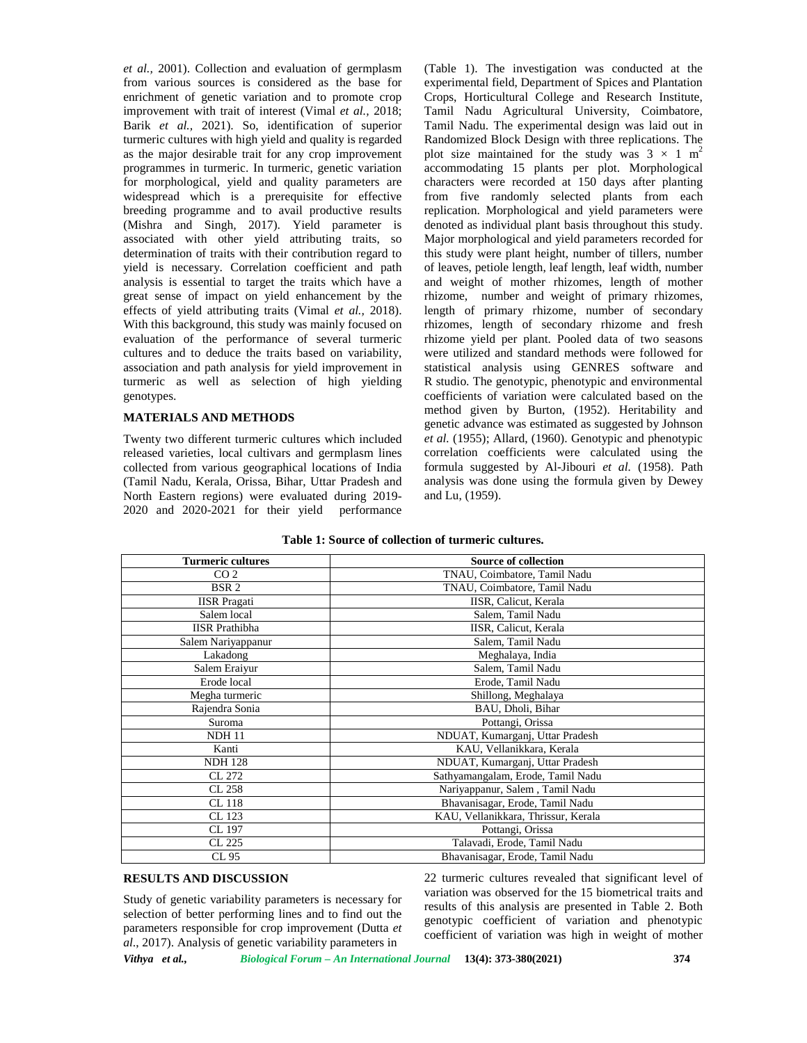*et al.,* 2001). Collection and evaluation of germplasm from various sources is considered as the base for enrichment of genetic variation and to promote crop improvement with trait of interest (Vimal *et al.,* 2018; Barik *et al.,* 2021). So, identification of superior turmeric cultures with high yield and quality is regarded as the major desirable trait for any crop improvement programmes in turmeric. In turmeric, genetic variation for morphological, yield and quality parameters are widespread which is a prerequisite for effective breeding programme and to avail productive results (Mishra and Singh*,* 2017). Yield parameter is associated with other yield attributing traits, so determination of traits with their contribution regard to yield is necessary. Correlation coefficient and path analysis is essential to target the traits which have a great sense of impact on yield enhancement by the effects of yield attributing traits (Vimal *et al.,* 2018). With this background, this study was mainly focused on evaluation of the performance of several turmeric cultures and to deduce the traits based on variability, association and path analysis for yield improvement in turmeric as well as selection of high yielding genotypes.

## **MATERIALS AND METHODS**

Twenty two different turmeric cultures which included released varieties, local cultivars and germplasm lines collected from various geographical locations of India (Tamil Nadu, Kerala, Orissa, Bihar, Uttar Pradesh and North Eastern regions) were evaluated during 2019- 2020 and 2020-2021 for their yield performance

(Table 1). The investigation was conducted at the experimental field, Department of Spices and Plantation Crops, Horticultural College and Research Institute, Tamil Nadu Agricultural University, Coimbatore, Tamil Nadu. The experimental design was laid out in Randomized Block Design with three replications. The plot size maintained for the study was  $3 \times 1 \text{ m}^2$ accommodating 15 plants per plot. Morphological characters were recorded at 150 days after planting from five randomly selected plants from each replication. Morphological and yield parameters were denoted as individual plant basis throughout this study. Major morphological and yield parameters recorded for this study were plant height, number of tillers, number of leaves, petiole length, leaf length, leaf width, number and weight of mother rhizomes, length of mother rhizome, number and weight of primary rhizomes, length of primary rhizome, number of secondary rhizomes, length of secondary rhizome and fresh rhizome yield per plant. Pooled data of two seasons were utilized and standard methods were followed for statistical analysis using GENRES software and R studio. The genotypic, phenotypic and environmental coefficients of variation were calculated based on the method given by Burton, (1952). Heritability and genetic advance was estimated as suggested by Johnson *et al.* (1955); Allard, (1960). Genotypic and phenotypic correlation coefficients were calculated using the formula suggested by Al-Jibouri *et al.* (1958). Path analysis was done using the formula given by Dewey and Lu, (1959).

| Table 1: Source of collection of turmeric cultures. |
|-----------------------------------------------------|
|-----------------------------------------------------|

| <b>Turmeric cultures</b> | <b>Source of collection</b>         |
|--------------------------|-------------------------------------|
| CO <sub>2</sub>          | TNAU, Coimbatore, Tamil Nadu        |
| BSR <sub>2</sub>         | TNAU, Coimbatore, Tamil Nadu        |
| <b>IISR</b> Pragati      | IISR, Calicut, Kerala               |
| Salem local              | Salem, Tamil Nadu                   |
| <b>IISR</b> Prathibha    | IISR, Calicut, Kerala               |
| Salem Nariyappanur       | Salem, Tamil Nadu                   |
| Lakadong                 | Meghalaya, India                    |
| Salem Eraiyur            | Salem, Tamil Nadu                   |
| Erode local              | Erode, Tamil Nadu                   |
| Megha turmeric           | Shillong, Meghalaya                 |
| Rajendra Sonia           | BAU, Dholi, Bihar                   |
| Suroma                   | Pottangi, Orissa                    |
| <b>NDH 11</b>            | NDUAT, Kumarganj, Uttar Pradesh     |
| Kanti                    | KAU, Vellanikkara, Kerala           |
| <b>NDH 128</b>           | NDUAT, Kumarganj, Uttar Pradesh     |
| CL 272                   | Sathyamangalam, Erode, Tamil Nadu   |
| CL 258                   | Nariyappanur, Salem, Tamil Nadu     |
| CL 118                   | Bhavanisagar, Erode, Tamil Nadu     |
| CL 123                   | KAU, Vellanikkara, Thrissur, Kerala |
| CL 197                   | Pottangi, Orissa                    |
| CL 225                   | Talavadi, Erode, Tamil Nadu         |
| CL 95                    | Bhavanisagar, Erode, Tamil Nadu     |

# **RESULTS AND DISCUSSION**

Study of genetic variability parameters is necessary for selection of better performing lines and to find out the parameters responsible for crop improvement (Dutta *et al*., 2017). Analysis of genetic variability parameters in

22 turmeric cultures revealed that significant level of variation was observed for the 15 biometrical traits and results of this analysis are presented in Table 2. Both genotypic coefficient of variation and phenotypic coefficient of variation was high in weight of mother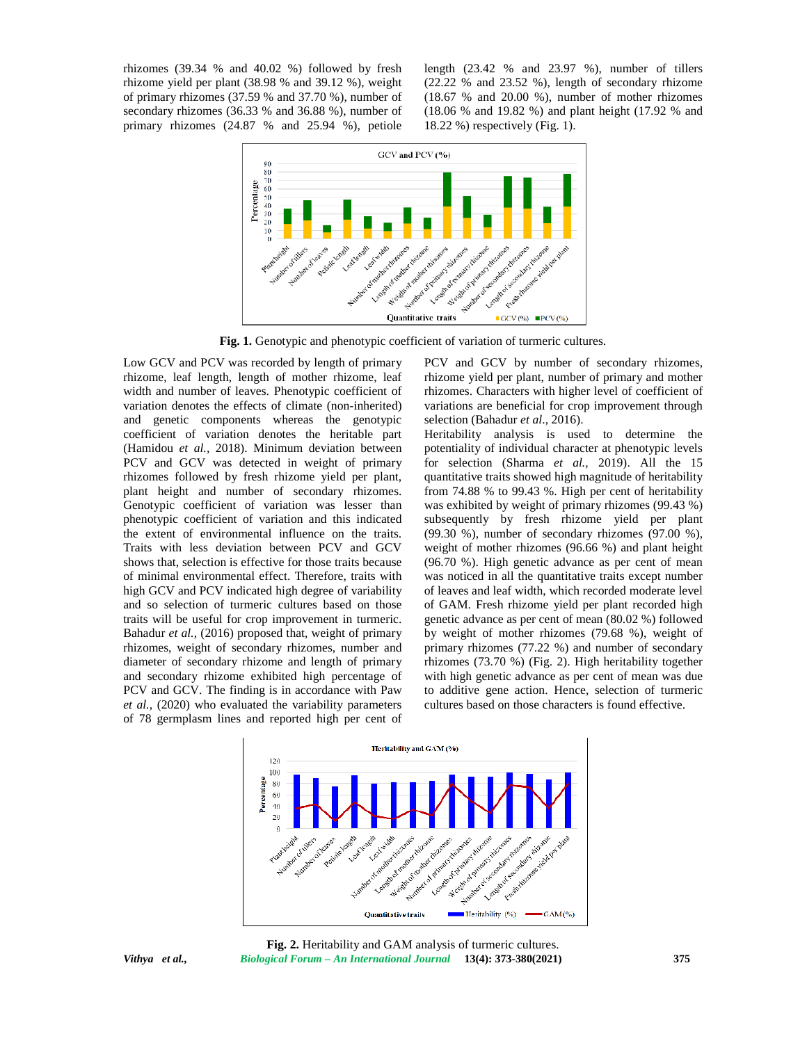rhizomes (39.34 % and 40.02 %) followed by fresh rhizome yield per plant (38.98 % and 39.12 %), weight of primary rhizomes (37.59 % and 37.70 %), number of secondary rhizomes (36.33 % and 36.88 %), number of primary rhizomes (24.87 % and 25.94 %), petiole length  $(23.42 \%$  and  $23.97 \%$ ), number of tillers (22.22 % and 23.52 %), length of secondary rhizome (18.67 % and 20.00 %), number of mother rhizomes (18.06 % and 19.82 %) and plant height (17.92 % and 18.22 %) respectively (Fig. 1).



**Fig. 1.** Genotypic and phenotypic coefficient of variation of turmeric cultures.

Low GCV and PCV was recorded by length of primary rhizome, leaf length, length of mother rhizome, leaf width and number of leaves. Phenotypic coefficient of variation denotes the effects of climate (non-inherited) and genetic components whereas the genotypic coefficient of variation denotes the heritable part (Hamidou *et al.,* 2018). Minimum deviation between PCV and GCV was detected in weight of primary rhizomes followed by fresh rhizome yield per plant, plant height and number of secondary rhizomes. Genotypic coefficient of variation was lesser than phenotypic coefficient of variation and this indicated the extent of environmental influence on the traits. Traits with less deviation between PCV and GCV shows that, selection is effective for those traits because of minimal environmental effect. Therefore, traits with high GCV and PCV indicated high degree of variability and so selection of turmeric cultures based on those traits will be useful for crop improvement in turmeric. Bahadur *et al.,* (2016) proposed that, weight of primary rhizomes, weight of secondary rhizomes, number and diameter of secondary rhizome and length of primary and secondary rhizome exhibited high percentage of PCV and GCV. The finding is in accordance with Paw *et al.,* (2020) who evaluated the variability parameters of 78 germplasm lines and reported high per cent of

PCV and GCV by number of secondary rhizomes, rhizome yield per plant, number of primary and mother rhizomes. Characters with higher level of coefficient of variations are beneficial for crop improvement through selection (Bahadur *et al*., 2016).

Heritability analysis is used to determine the potentiality of individual character at phenotypic levels for selection (Sharma *et al.,* 2019). All the 15 quantitative traits showed high magnitude of heritability from 74.88 % to 99.43 %. High per cent of heritability was exhibited by weight of primary rhizomes (99.43 %) subsequently by fresh rhizome yield per plant (99.30 %), number of secondary rhizomes (97.00 %), weight of mother rhizomes (96.66 %) and plant height (96.70 %). High genetic advance as per cent of mean was noticed in all the quantitative traits except number of leaves and leaf width, which recorded moderate level of GAM. Fresh rhizome yield per plant recorded high genetic advance as per cent of mean (80.02 %) followed by weight of mother rhizomes (79.68 %), weight of primary rhizomes (77.22 %) and number of secondary rhizomes (73.70 %) (Fig. 2). High heritability together with high genetic advance as per cent of mean was due to additive gene action. Hence, selection of turmeric cultures based on those characters is found effective.





*Vithya et al., Biological Forum – An International Journal* **13(4): 373-380(2021) 375 Fig. 2.** Heritability and GAM analysis of turmeric cultures.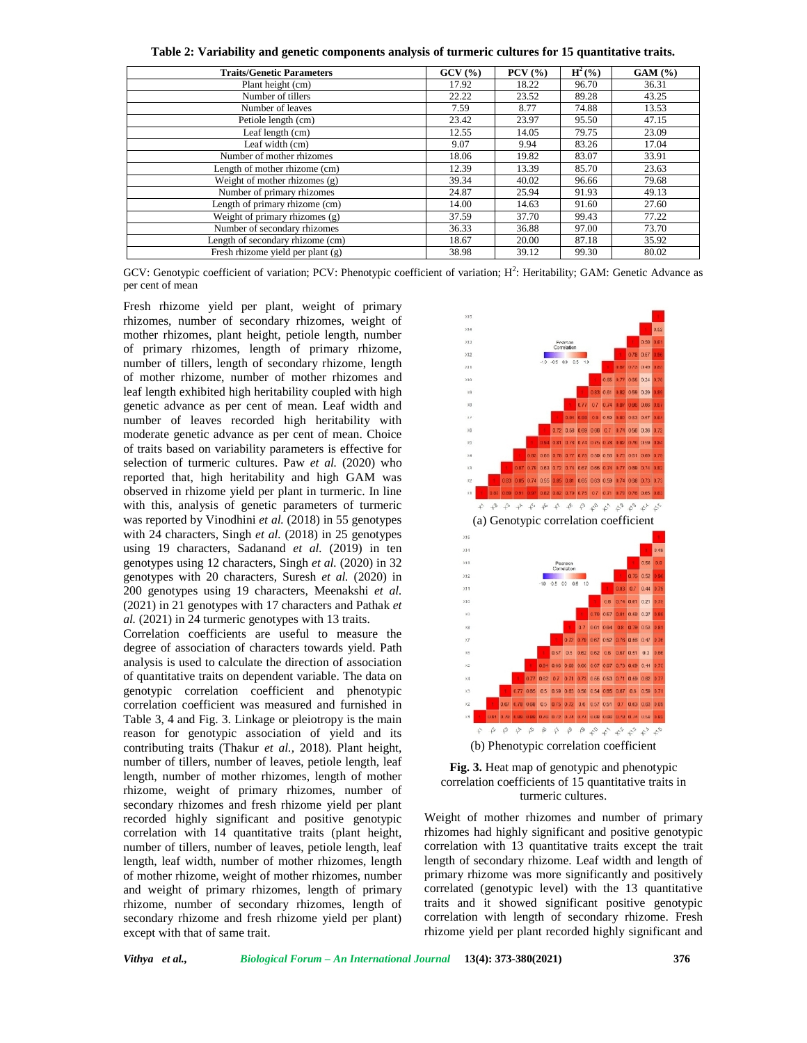**Table 2: Variability and genetic components analysis of turmeric cultures for 15 quantitative traits.**

| <b>Traits/Genetic Parameters</b>    | GCV(%) | $PCV$ $(\frac{9}{6})$ | $H^2({\%})$ | GAM (%) |
|-------------------------------------|--------|-----------------------|-------------|---------|
| Plant height (cm)                   | 17.92  | 18.22                 | 96.70       | 36.31   |
| Number of tillers                   | 22.22  | 23.52                 | 89.28       | 43.25   |
| Number of leaves                    | 7.59   | 8.77                  | 74.88       | 13.53   |
| Petiole length (cm)                 | 23.42  | 23.97                 | 95.50       | 47.15   |
| Leaf length (cm)                    | 12.55  | 14.05                 | 79.75       | 23.09   |
| Leaf width $(cm)$                   | 9.07   | 9.94                  | 83.26       | 17.04   |
| Number of mother rhizomes           | 18.06  | 19.82                 | 83.07       | 33.91   |
| Length of mother rhizome (cm)       | 12.39  | 13.39                 | 85.70       | 23.63   |
| Weight of mother rhizomes $(g)$     | 39.34  | 40.02                 | 96.66       | 79.68   |
| Number of primary rhizomes          | 24.87  | 25.94                 | 91.93       | 49.13   |
| Length of primary rhizome (cm)      | 14.00  | 14.63                 | 91.60       | 27.60   |
| Weight of primary rhizomes $(g)$    | 37.59  | 37.70                 | 99.43       | 77.22   |
| Number of secondary rhizomes        | 36.33  | 36.88                 | 97.00       | 73.70   |
| Length of secondary rhizome (cm)    | 18.67  | 20.00                 | 87.18       | 35.92   |
| Fresh rhizome yield per plant $(g)$ | 38.98  | 39.12                 | 99.30       | 80.02   |

GCV: Genotypic coefficient of variation; PCV: Phenotypic coefficient of variation;  $H^2$ : Heritability; GAM: Genetic Advance as per cent of mean

Fresh rhizome yield per plant, weight of primary rhizomes, number of secondary rhizomes, weight of mother rhizomes, plant height, petiole length, number of primary rhizomes, length of primary rhizome, number of tillers, length of secondary rhizome, length of mother rhizome, number of mother rhizomes and leaf length exhibited high heritability coupled with high genetic advance as per cent of mean. Leaf width and number of leaves recorded high heritability with moderate genetic advance as per cent of mean. Choice of traits based on variability parameters is effective for selection of turmeric cultures. Paw *et al.* (2020) who reported that, high heritability and high GAM was observed in rhizome yield per plant in turmeric. In line with this, analysis of genetic parameters of turmeric was reported by Vinodhini *et al.* (2018) in 55 genotypes with 24 characters, Singh *et al.* (2018) in 25 genotypes using 19 characters, Sadanand *et al.* (2019) in ten genotypes using 12 characters, Singh *et al.* (2020) in 32 genotypes with 20 characters, Suresh *et al.* (2020) in 200 genotypes using 19 characters, Meenakshi *et al.* (2021) in 21 genotypes with 17 characters and Pathak *et al.* (2021) in 24 turmeric genotypes with 13 traits.

Correlation coefficients are useful to measure the degree of association of characters towards yield. Path analysis is used to calculate the direction of association of quantitative traits on dependent variable. The data on genotypic correlation coefficient and phenotypic correlation coefficient was measured and furnished in Table 3, 4 and Fig. 3. Linkage or pleiotropy is the main reason for genotypic association of yield and its contributing traits (Thakur *et al.,* 2018). Plant height, number of tillers, number of leaves, petiole length, leaf length, number of mother rhizomes, length of mother rhizome, weight of primary rhizomes, number of secondary rhizomes and fresh rhizome yield per plant recorded highly significant and positive genotypic correlation with 14 quantitative traits (plant height, number of tillers, number of leaves, petiole length, leaf length, leaf width, number of mother rhizomes, length of mother rhizome, weight of mother rhizomes, number and weight of primary rhizomes, length of primary rhizome, number of secondary rhizomes, length of secondary rhizome and fresh rhizome yield per plant) except with that of same trait.





Weight of mother rhizomes and number of primary rhizomes had highly significant and positive genotypic correlation with 13 quantitative traits except the trait length of secondary rhizome. Leaf width and length of primary rhizome was more significantly and positively correlated (genotypic level) with the 13 quantitative traits and it showed significant positive genotypic correlation with length of secondary rhizome. Fresh rhizome yield per plant recorded highly significant and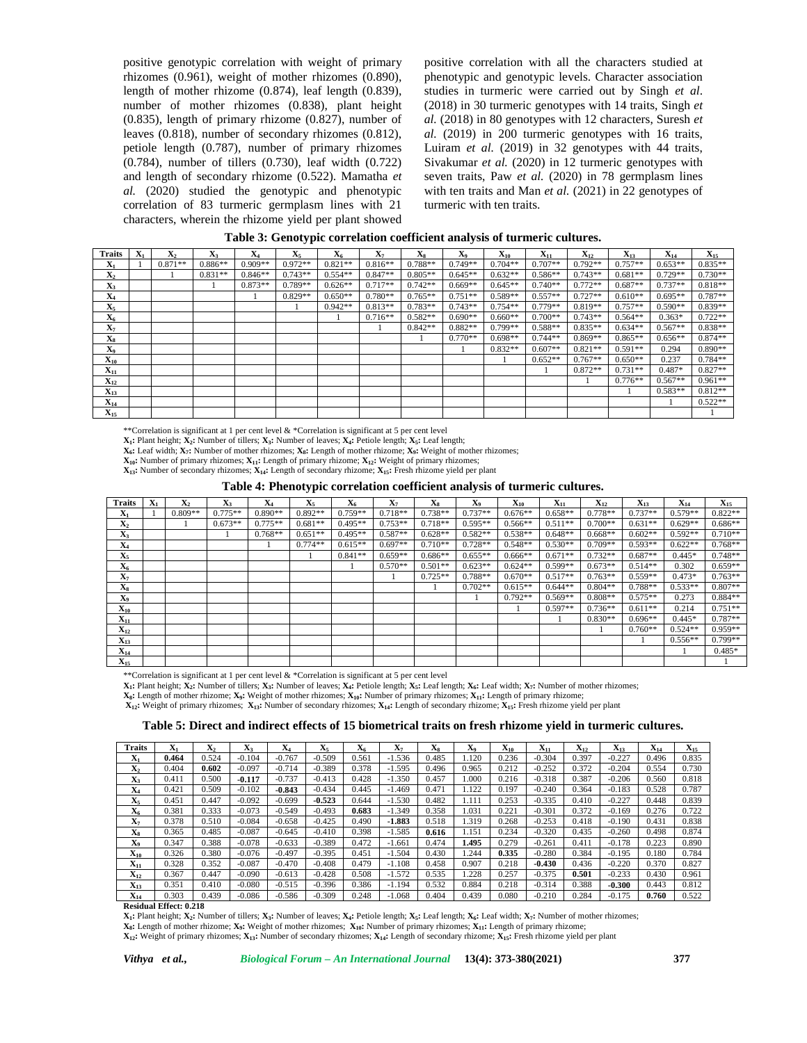positive genotypic correlation with weight of primary rhizomes (0.961), weight of mother rhizomes (0.890), length of mother rhizome (0.874), leaf length (0.839), number of mother rhizomes (0.838), plant height (0.835), length of primary rhizome (0.827), number of leaves (0.818), number of secondary rhizomes (0.812), petiole length (0.787), number of primary rhizomes (0.784), number of tillers (0.730), leaf width (0.722) and length of secondary rhizome (0.522). Mamatha *et al.* (2020) studied the genotypic and phenotypic correlation of 83 turmeric germplasm lines with 21 characters, wherein the rhizome yield per plant showed

positive correlation with all the characters studied at phenotypic and genotypic levels. Character association studies in turmeric were carried out by Singh *et al*. (2018) in 30 turmeric genotypes with 14 traits, Singh *et al.* (2018) in 80 genotypes with 12 characters, Suresh *et al.* (2019) in 200 turmeric genotypes with 16 traits, Luiram *et al.* (2019) in 32 genotypes with 44 traits, Sivakumar *et al.* (2020) in 12 turmeric genotypes with seven traits, Paw *et al.* (2020) in 78 germplasm lines with ten traits and Man *et al.* (2021) in 22 genotypes of turmeric with ten traits.

| <b>Traits</b>     | $\mathbf{X}_1$ | X,        | $\mathbf{X}_3$ | $\mathbf{X}_4$ | $\mathbf{X}_5$ | $X_6$     | X7        | Xs        | X <sub>o</sub> | $\mathbf{X}_{10}$ | $\mathbf{X}_{11}$ | $\mathbf{X}_{12}$ | $\mathbf{X}_{13}$ | $X_{14}$  | $\mathbf{X}_{15}$ |
|-------------------|----------------|-----------|----------------|----------------|----------------|-----------|-----------|-----------|----------------|-------------------|-------------------|-------------------|-------------------|-----------|-------------------|
| $\mathbf{X}_1$    |                | $0.871**$ | $0.886**$      | $0.909**$      | $0.972**$      | $0.821**$ | $0.816**$ | $0.788**$ | $0.749**$      | $0.704**$         | $0.707**$         | $0.792**$         | $0.757**$         | $0.653**$ | $0.835**$         |
| $\mathbf{X}_2$    |                |           | $0.831**$      | $0.846**$      | $0.743**$      | $0.554**$ | $0.847**$ | $0.805**$ | $0.645**$      | $0.632**$         | $0.586**$         | $0.743**$         | $0.681**$         | $0.729**$ | $0.730**$         |
| $\mathbf{A}_3$    |                |           |                | $0.873**$      | $0.789**$      | $0.626**$ | $0.717**$ | $0.742**$ | $0.669**$      | $0.645**$         | $0.740**$         | $0.772**$         | $0.687**$         | $0.737**$ | $0.818**$         |
| $\mathbf{X}_4$    |                |           |                |                | $0.829**$      | $0.650**$ | $0.780**$ | $0.765**$ | $0.751**$      | $0.589**$         | $0.557**$         | $0.727**$         | $0.610**$         | $0.695**$ | $0.787**$         |
| $\mathbf{X}_5$    |                |           |                |                |                | $0.942**$ | $0.813**$ | $0.783**$ | $0.743**$      | $0.754**$         | $0.779**$         | $0.819**$         | $0.757**$         | $0.590**$ | $0.839**$         |
| $\mathbf{X}_{6}$  |                |           |                |                |                |           | $0.716**$ | $0.582**$ | $0.690**$      | $0.660**$         | $0.700**$         | $0.743**$         | $0.564**$         | $0.363*$  | $0.722**$         |
| $\mathbf{X}_7$    |                |           |                |                |                |           |           | $0.842**$ | $0.882**$      | $0.799**$         | $0.588**$         | $0.835**$         | $0.634**$         | $0.567**$ | $0.838**$         |
| $\mathbf{X}_8$    |                |           |                |                |                |           |           |           | $0.770**$      | $0.698**$         | $0.744**$         | $0.869**$         | $0.865**$         | $0.656**$ | $0.874**$         |
| X <sub>o</sub>    |                |           |                |                |                |           |           |           |                | $0.832**$         | $0.607**$         | $0.821**$         | $0.591**$         | 0.294     | $0.890**$         |
| $\mathbf{X}_{10}$ |                |           |                |                |                |           |           |           |                |                   | $0.652**$         | $0.767**$         | $0.650**$         | 0.237     | $0.784**$         |
| $\mathbf{X}_{11}$ |                |           |                |                |                |           |           |           |                |                   |                   | $0.872**$         | $0.731**$         | 0.487*    | $0.827**$         |
| $X_{12}$          |                |           |                |                |                |           |           |           |                |                   |                   |                   | $0.776**$         | $0.567**$ | $0.961**$         |
| $X_{13}$          |                |           |                |                |                |           |           |           |                |                   |                   |                   |                   | $0.583**$ | $0.812**$         |
| $X_{14}$          |                |           |                |                |                |           |           |           |                |                   |                   |                   |                   |           | $0.522**$         |
| $\mathbf{X}_{15}$ |                |           |                |                |                |           |           |           |                |                   |                   |                   |                   |           |                   |

| Table 3: Genotypic correlation coefficient analysis of turmeric cultures. |
|---------------------------------------------------------------------------|
|                                                                           |

\*\*Correlation is significant at 1 per cent level & \*Correlation is significant at 5 per cent level

**X1:** Plant height; **X2:** Number of tillers; **X3:** Number of leaves; **X4:** Petiole length; **X5:** Leaf length;

**X6:** Leaf width; **X7:** Number of mother rhizomes; **X8:** Length of mother rhizome; **X9:** Weight of mother rhizomes;

**X10:** Number of primary rhizomes; **X11:** Length of primary rhizome; **X12:** Weight of primary rhizomes; **X13:** Number of secondary rhizomes; **X14:** Length of secondary rhizome; **X15:** Fresh rhizome yield per plant

**Table 4: Phenotypic correlation coefficient analysis of turmeric cultures.**

| Traits            | $\mathbf{X}_1$ | $\mathbf{X}_2$ | $\mathbf{X}_3$ | $\mathbf{X}_4$ | $\mathbf{X}_5$ | $\mathbf{X}_6$ | $\mathbf{X}_7$ | X <sub>8</sub> | X <sub>9</sub> | $\mathbf{X}_{10}$ | $\mathbf{X}_{11}$ | $X_{12}$  | $\mathbf{X}_{13}$ | $X_{14}$  | $\mathbf{X}_{15}$ |
|-------------------|----------------|----------------|----------------|----------------|----------------|----------------|----------------|----------------|----------------|-------------------|-------------------|-----------|-------------------|-----------|-------------------|
| $\mathbf{X}_1$    |                | $0.809**$      | $0.775**$      | $0.890**$      | $0.892**$      | $0.759**$      | $0.718**$      | $0.738**$      | $0.737**$      | $0.676**$         | $0.658**$         | $0.778**$ | $0.737**$         | $0.579**$ | $0.822**$         |
| $\mathbf{X}_2$    |                |                | $0.673**$      | $0.775**$      | $0.681**$      | $0.495**$      | $0.753**$      | $0.718**$      | $0.595**$      | $0.566**$         | $0.511**$         | $0.700**$ | $0.631**$         | $0.629**$ | $0.686**$         |
| $X_3$             |                |                |                | $0.768**$      | $0.651**$      | $0.495**$      | $0.587**$      | $0.628**$      | $0.582**$      | $0.538**$         | $0.648**$         | $0.668**$ | $0.602**$         | $0.592**$ | $0.710**$         |
| $X_4$             |                |                |                |                | $0.774**$      | $0.615**$      | $0.697**$      | $0.710**$      | $0.728**$      | $0.548**$         | $0.530**$         | $0.709**$ | $0.593**$         | $0.622**$ | $0.768**$         |
| $\mathbf{X}_5$    |                |                |                |                |                | $0.841**$      | $0.659**$      | $0.686**$      | $0.655**$      | $0.666**$         | $0.671**$         | $0.732**$ | $0.687**$         | $0.445*$  | $0.748**$         |
| $X_6$             |                |                |                |                |                |                | $0.570**$      | $0.501**$      | $0.623**$      | $0.624**$         | $0.599**$         | $0.673**$ | $0.514**$         | 0.302     | $0.659**$         |
| $\mathbf{X}_7$    |                |                |                |                |                |                |                | $0.725**$      | $0.788**$      | $0.670**$         | $0.517**$         | $0.763**$ | $0.559**$         | $0.473*$  | $0.763**$         |
| $X_8$             |                |                |                |                |                |                |                |                | $0.702**$      | $0.615**$         | $0.644**$         | $0.804**$ | $0.788**$         | $0.533**$ | $0.807**$         |
| X <sub>9</sub>    |                |                |                |                |                |                |                |                |                | $0.792**$         | $0.569**$         | $0.808**$ | $0.575**$         | 0.273     | $0.884**$         |
| $\mathbf{X}_{10}$ |                |                |                |                |                |                |                |                |                |                   | $0.597**$         | $0.736**$ | $0.611**$         | 0.214     | $0.751**$         |
| $X_{11}$          |                |                |                |                |                |                |                |                |                |                   |                   | $0.830**$ | $0.696**$         | $0.445*$  | $0.787**$         |
| $X_{12}$          |                |                |                |                |                |                |                |                |                |                   |                   |           | $0.760**$         | $0.524**$ | $0.959**$         |
| $\mathbf{X}_{13}$ |                |                |                |                |                |                |                |                |                |                   |                   |           |                   | $0.556**$ | $0.799**$         |
| $X_{14}$          |                |                |                |                |                |                |                |                |                |                   |                   |           |                   |           | $0.485*$          |
| $X_{15}$          |                |                |                |                |                |                |                |                |                |                   |                   |           |                   |           |                   |

\*\*Correlation is significant at 1 per cent level & \*Correlation is significant at 5 per cent level

 $X_1$ : Plant height;  $X_2$ : Number of tillers;  $X_3$ : Number of leaves;  $X_4$ : Petiole length;  $X_5$ : Leaf length;  $X_6$ : Leaf width;  $X_7$ : Number of mother rhizomes;

**X8:** Length of mother rhizome; **X9:** Weight of mother rhizomes; **X10:** Number of primary rhizomes; **X11:** Length of primary rhizome;

**X12:** Weight of primary rhizomes; **X13:** Number of secondary rhizomes; **X14:** Length of secondary rhizome; **X15:** Fresh rhizome yield per plant

#### **Table 5: Direct and indirect effects of 15 biometrical traits on fresh rhizome yield in turmeric cultures.**

| <b>Traits</b>              | $\mathbf{X}_1$ | X,    | X,       | X4       | X.       | $X_6$ | X7       | Xs    | X0    | $\mathbf{X}_{10}$ | ${\bf X}_{11}$ | $\mathbf{X}_{12}$ | $X_{13}$ | $\mathbf{X}_{14}$ | $\mathbf{X}_{15}$ |
|----------------------------|----------------|-------|----------|----------|----------|-------|----------|-------|-------|-------------------|----------------|-------------------|----------|-------------------|-------------------|
| $\mathbf{X}_1$             | 0.464          | 0.524 | $-0.104$ | $-0.767$ | $-0.509$ | 0.561 | $-1.536$ | 0.485 | 1.120 | 0.236             | $-0.304$       | 0.397             | $-0.227$ | 0.496             | 0.835             |
| $\mathbf{X}_2$             | 0.404          | 0.602 | $-0.097$ | $-0.714$ | $-0.389$ | 0.378 | $-1.595$ | 0.496 | 0.965 | 0.212             | $-0.252$       | 0.372             | $-0.204$ | 0.554             | 0.730             |
| $\mathbf{X}_3$             | 0.411          | 0.500 | $-0.117$ | $-0.737$ | $-0.413$ | 0.428 | $-1.350$ | 0.457 | 1.000 | 0.216             | $-0.318$       | 0.387             | $-0.206$ | 0.560             | 0.818             |
| $\mathbf{X}_4$             | 0.421          | 0.509 | $-0.102$ | $-0.843$ | $-0.434$ | 0.445 | $-1.469$ | 0.471 | 1.122 | 0.197             | $-0.240$       | 0.364             | $-0.183$ | 0.528             | 0.787             |
| $\mathbf{X}_5$             | 0.451          | 0.447 | $-0.092$ | $-0.699$ | $-0.523$ | 0.644 | $-1.530$ | 0.482 | 1.111 | 0.253             | $-0.335$       | 0.410             | $-0.227$ | 0.448             | 0.839             |
| $\mathbf{X}_6$             | 0.381          | 0.333 | $-0.073$ | $-0.549$ | $-0.493$ | 0.683 | $-1.349$ | 0.358 | 1.031 | 0.221             | $-0.301$       | 0.372             | $-0.169$ | 0.276             | 0.722             |
| $\mathbf{X}_7$             | 0.378          | 0.510 | $-0.084$ | $-0.658$ | $-0.425$ | 0.490 | $-1.883$ | 0.518 | 1.319 | 0.268             | $-0.253$       | 0.418             | $-0.190$ | 0.431             | 0.838             |
| Δg                         | 0.365          | 0.485 | $-0.087$ | $-0.645$ | $-0.410$ | 0.398 | $-1.585$ | 0.616 | 1.151 | 0.234             | $-0.320$       | 0.435             | $-0.260$ | 0.498             | 0.874             |
| Δq                         | 0.347          | 0.388 | $-0.078$ | $-0.633$ | $-0.389$ | 0.472 | $-1.661$ | 0.474 | 1.495 | 0.279             | $-0.261$       | 0.411             | $-0.178$ | 0.223             | 0.890             |
| $\mathbf{X}_{10}$          | 0.326          | 0.380 | $-0.076$ | $-0.497$ | $-0.395$ | 0.451 | $-1.504$ | 0.430 | 1.244 | 0.335             | $-0.280$       | 0.384             | $-0.195$ | 0.180             | 0.784             |
| $\mathbf{X}_{11}$          | 0.328          | 0.352 | $-0.087$ | $-0.470$ | $-0.408$ | 0.479 | $-1.108$ | 0.458 | 0.907 | 0.218             | $-0.430$       | 0.436             | $-0.220$ | 0.370             | 0.827             |
| $\mathbf{X}_{12}$          | 0.367          | 0.447 | $-0.090$ | $-0.613$ | $-0.428$ | 0.508 | $-1.572$ | 0.535 | .228  | 0.257             | $-0.375$       | 0.501             | $-0.233$ | 0.430             | 0.961             |
| $\mathbf{X}_{13}$          | 0.351          | 0.410 | $-0.080$ | $-0.515$ | $-0.396$ | 0.386 | $-1.194$ | 0.532 | 0.884 | 0.218             | $-0.314$       | 0.388             | $-0.300$ | 0.443             | 0.812             |
| $\mathbf{X}_{\mathbf{14}}$ | 0.303          | 0.439 | $-0.086$ | $-0.586$ | $-0.309$ | 0.248 | $-1.068$ | 0.404 | 0.439 | 0.080             | $-0.210$       | 0.284             | $-0.175$ | 0.760             | 0.522             |

**Residual Effect: 0.218**

X<sub>1</sub>: Plant height; X<sub>2</sub>: Number of tillers; X<sub>3</sub>: Number of leaves; X<sub>4</sub>: Petiole length; X<sub>5</sub>: Leaf length; X<sub>6</sub>: Leaf width; X<sub>7</sub>: Number of mother rhizomes;

**X8:** Length of mother rhizome; **X9:** Weight of mother rhizomes; **X10:** Number of primary rhizomes; **X11:** Length of primary rhizome;

 $X_{12}$ : Weight of primary rhizomes;  $X_{13}$ : Number of secondary rhizomes;  $X_{14}$ : Length of secondary rhizome;  $X_{15}$ : Fresh rhizome yield per plant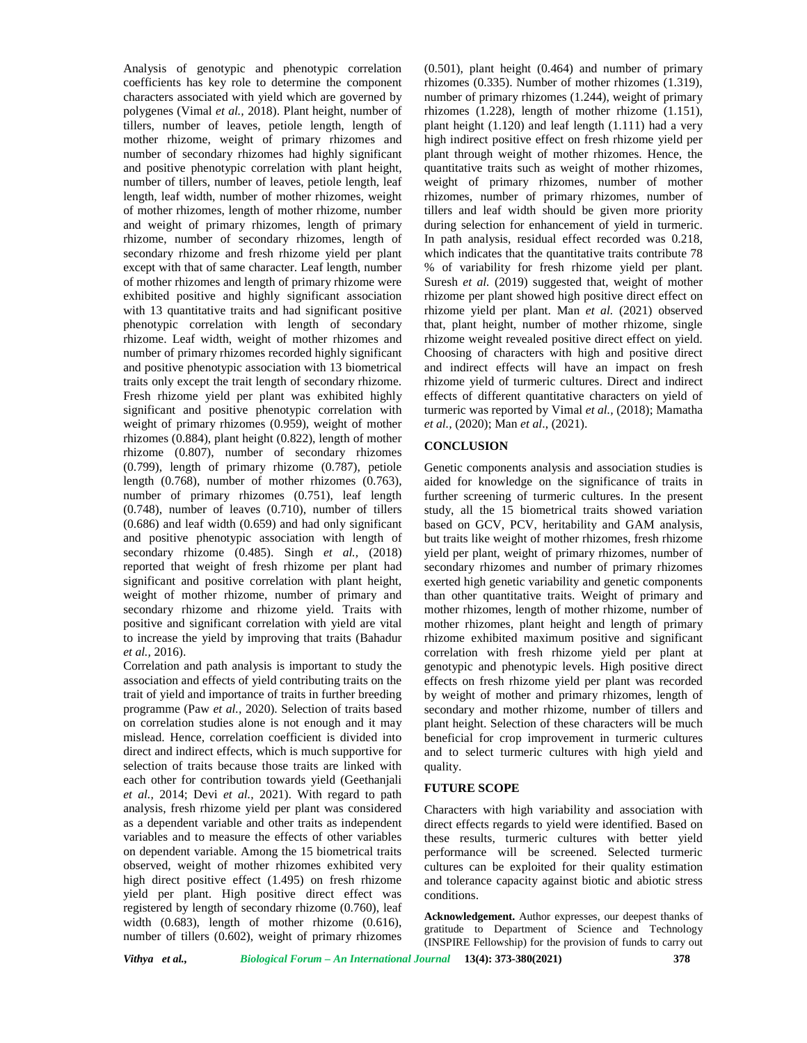Analysis of genotypic and phenotypic correlation coefficients has key role to determine the component characters associated with yield which are governed by polygenes (Vimal *et al.,* 2018). Plant height, number of tillers, number of leaves, petiole length, length of mother rhizome, weight of primary rhizomes and number of secondary rhizomes had highly significant and positive phenotypic correlation with plant height, number of tillers, number of leaves, petiole length, leaf length, leaf width, number of mother rhizomes, weight of mother rhizomes, length of mother rhizome, number and weight of primary rhizomes, length of primary rhizome, number of secondary rhizomes, length of secondary rhizome and fresh rhizome yield per plant except with that of same character. Leaf length, number of mother rhizomes and length of primary rhizome were exhibited positive and highly significant association with 13 quantitative traits and had significant positive phenotypic correlation with length of secondary rhizome. Leaf width, weight of mother rhizomes and number of primary rhizomes recorded highly significant and positive phenotypic association with 13 biometrical traits only except the trait length of secondary rhizome. Fresh rhizome yield per plant was exhibited highly significant and positive phenotypic correlation with weight of primary rhizomes (0.959), weight of mother rhizomes (0.884), plant height (0.822), length of mother rhizome (0.807), number of secondary rhizomes (0.799), length of primary rhizome (0.787), petiole length (0.768), number of mother rhizomes (0.763), number of primary rhizomes (0.751), leaf length (0.748), number of leaves (0.710), number of tillers (0.686) and leaf width (0.659) and had only significant and positive phenotypic association with length of secondary rhizome (0.485). Singh *et al.,* (2018) reported that weight of fresh rhizome per plant had significant and positive correlation with plant height, weight of mother rhizome, number of primary and secondary rhizome and rhizome yield. Traits with positive and significant correlation with yield are vital to increase the yield by improving that traits (Bahadur *et al.,* 2016).

Correlation and path analysis is important to study the association and effects of yield contributing traits on the trait of yield and importance of traits in further breeding programme (Paw *et al.,* 2020). Selection of traits based on correlation studies alone is not enough and it may mislead. Hence, correlation coefficient is divided into direct and indirect effects, which is much supportive for selection of traits because those traits are linked with each other for contribution towards yield (Geethanjali *et al.,* 2014; Devi *et al.,* 2021). With regard to path analysis, fresh rhizome yield per plant was considered as a dependent variable and other traits as independent variables and to measure the effects of other variables on dependent variable. Among the 15 biometrical traits observed, weight of mother rhizomes exhibited very high direct positive effect (1.495) on fresh rhizome yield per plant. High positive direct effect was registered by length of secondary rhizome (0.760), leaf width (0.683), length of mother rhizome (0.616), number of tillers (0.602), weight of primary rhizomes

(0.501), plant height (0.464) and number of primary rhizomes (0.335). Number of mother rhizomes (1.319), number of primary rhizomes (1.244), weight of primary rhizomes (1.228), length of mother rhizome (1.151), plant height (1.120) and leaf length (1.111) had a very high indirect positive effect on fresh rhizome yield per plant through weight of mother rhizomes. Hence, the quantitative traits such as weight of mother rhizomes, weight of primary rhizomes, number of mother rhizomes, number of primary rhizomes, number of tillers and leaf width should be given more priority during selection for enhancement of yield in turmeric. In path analysis, residual effect recorded was 0.218, which indicates that the quantitative traits contribute 78 % of variability for fresh rhizome yield per plant. Suresh *et al.* (2019) suggested that, weight of mother rhizome per plant showed high positive direct effect on rhizome yield per plant. Man *et al.* (2021) observed that, plant height, number of mother rhizome, single rhizome weight revealed positive direct effect on yield. Choosing of characters with high and positive direct and indirect effects will have an impact on fresh rhizome yield of turmeric cultures. Direct and indirect effects of different quantitative characters on yield of turmeric was reported by Vimal *et al.,* (2018); Mamatha *et al.,* (2020); Man *et al*., (2021).

### **CONCLUSION**

Genetic components analysis and association studies is aided for knowledge on the significance of traits in further screening of turmeric cultures. In the present study, all the 15 biometrical traits showed variation based on GCV, PCV, heritability and GAM analysis, but traits like weight of mother rhizomes, fresh rhizome yield per plant, weight of primary rhizomes, number of secondary rhizomes and number of primary rhizomes exerted high genetic variability and genetic components than other quantitative traits. Weight of primary and mother rhizomes, length of mother rhizome, number of mother rhizomes, plant height and length of primary rhizome exhibited maximum positive and significant correlation with fresh rhizome yield per plant at genotypic and phenotypic levels. High positive direct effects on fresh rhizome yield per plant was recorded by weight of mother and primary rhizomes, length of secondary and mother rhizome, number of tillers and plant height. Selection of these characters will be much beneficial for crop improvement in turmeric cultures and to select turmeric cultures with high yield and quality.

### **FUTURE SCOPE**

Characters with high variability and association with direct effects regards to yield were identified. Based on these results, turmeric cultures with better yield performance will be screened. Selected turmeric cultures can be exploited for their quality estimation and tolerance capacity against biotic and abiotic stress conditions.

**Acknowledgement.** Author expresses, our deepest thanks of gratitude to Department of Science and Technology (INSPIRE Fellowship) for the provision of funds to carry out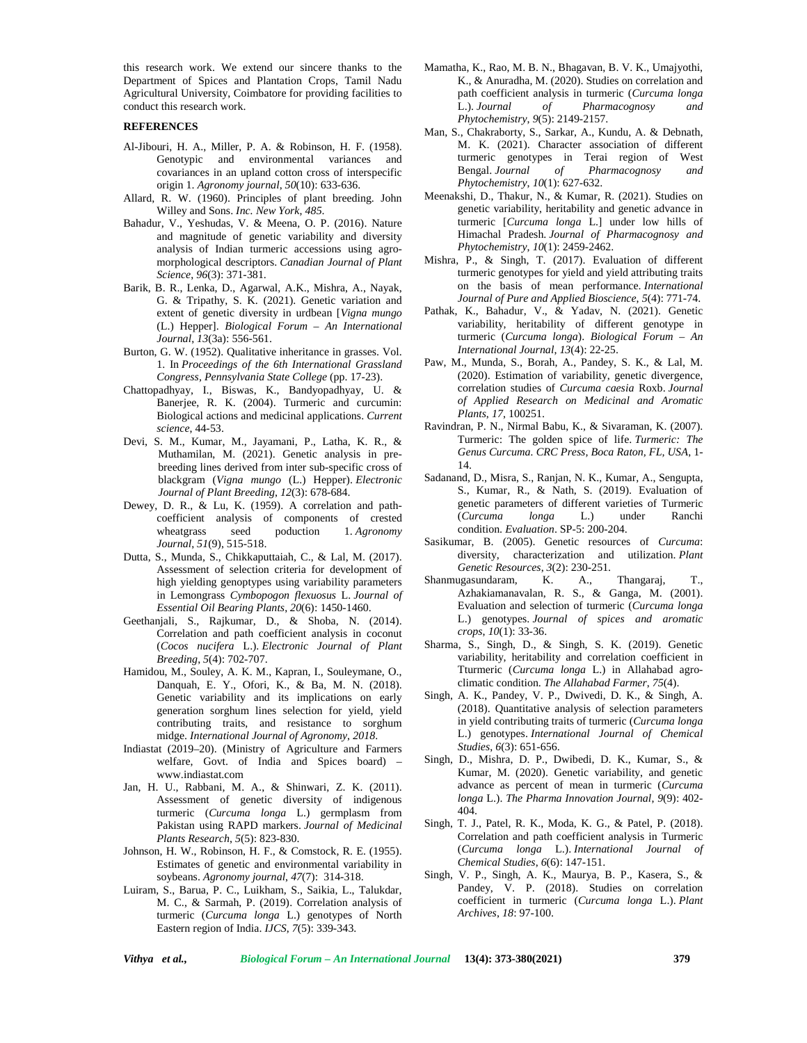this research work. We extend our sincere thanks to the Department of Spices and Plantation Crops, Tamil Nadu Agricultural University, Coimbatore for providing facilities to conduct this research work.

### **REFERENCES**

- Al-Jibouri, H. A., Miller, P. A. & Robinson, H. F. (1958). Genotypic and environmental variances and covariances in an upland cotton cross of interspecific origin 1. *Agronomy journal*, *50*(10): 633-636.
- Allard, R. W. (1960). Principles of plant breeding. John Willey and Sons. *Inc. New York*, *485*.
- Bahadur, V., Yeshudas, V. & Meena, O. P. (2016). Nature and magnitude of genetic variability and diversity analysis of Indian turmeric accessions using agro morphological descriptors. *Canadian Journal of Plant Science*, *96*(3): 371-381.
- Barik, B. R., Lenka, D., Agarwal, A.K., Mishra, A., Nayak, G. & Tripathy, S. K. (2021). Genetic variation and extent of genetic diversity in urdbean [*Vigna mungo* (L.) Hepper]. *Biological Forum – An International Journal*, *13*(3a): 556-561.
- Burton, G. W. (1952). Qualitative inheritance in grasses. Vol. 1. In *Proceedings of the 6th International Grassland Congress, Pennsylvania State College* (pp. 17-23).
- Chattopadhyay, I., Biswas, K., Bandyopadhyay, U. & Banerjee, R. K. (2004). Turmeric and curcumin: Biological actions and medicinal applications. *Current science*, 44-53.
- Devi, S. M., Kumar, M., Jayamani, P., Latha, K. R., & Muthamilan, M. (2021). Genetic analysis in pre breeding lines derived from inter sub-specific cross of blackgram (*Vigna mungo* (L.) Hepper). *Electronic Journal of Plant Breeding*, *12*(3): 678-684.
- Dewey, D. R., & Lu, K. (1959). A correlation and path coefficient analysis of components of crested wheatgrass seed poduction 1. *Agronomy Journal*, *51*(9), 515-518.
- Dutta, S., Munda, S., Chikkaputtaiah, C., & Lal, M. (2017). Assessment of selection criteria for development of high yielding genoptypes using variability parameters in Lemongrass *Cymbopogon flexuosus* L. *Journal of Essential Oil Bearing Plants*, *20*(6): 1450-1460.
- Geethanjali, S., Rajkumar, D., & Shoba, N. (2014). Correlation and path coefficient analysis in coconut (*Cocos nucifera* L.). *Electronic Journal of Plant Breeding*, *5*(4): 702-707.
- Hamidou, M., Souley, A. K. M., Kapran, I., Souleymane, O., Danquah, E. Y., Ofori, K., & Ba, M. N. (2018). Genetic variability and its implications on early generation sorghum lines selection for yield, yield contributing traits, and resistance to sorghum midge. *International Journal of Agronomy*, *2018*.
- Indiastat (2019–20). (Ministry of Agriculture and Farmers welfare, Govt. of India and Spices board) – <www.indiastat.com>
- Jan, H. U., Rabbani, M. A., & Shinwari, Z. K. (2011). Assessment of genetic diversity of indigenous turmeric (*Curcuma longa* L.) germplasm from Pakistan using RAPD markers. *Journal of Medicinal Plants Research*, *5*(5): 823-830.
- Johnson, H. W., Robinson, H. F., & Comstock, R. E. (1955). Estimates of genetic and environmental variability in<br>sovbeans. Agronomy journal. 47(7): 314-318. Singh, soybeans. *Agronomy journal*, *47*(7): 314-318.
- Luiram, S., Barua, P. C., Luikham, S., Saikia, L., Talukdar, M. C., & Sarmah, P. (2019). Correlation analysis of turmeric (*Curcuma longa* L.) genotypes of North Eastern region of India. *IJCS*, *7*(5): 339-343.
- Mamatha, K., Rao, M. B. N., Bhagavan, B. V. K., Umajyothi, K., & Anuradha, M. (2020). Studies on correlation and path coefficient analysis in turmeric (*Curcuma longa* L.). *Journal of Pharmacognosy and Phytochemistry*, *9*(5): 2149-2157.
- Man, S., Chakraborty, S., Sarkar, A., Kundu, A. & Debnath, M. K. (2021). Character association of different turmeric genotypes in Terai region of West Bengal. *Journal of Pharmacognosy and Phytochemistry*, *10*(1): 627-632.
- Meenakshi, D., Thakur, N., & Kumar, R. (2021). Studies on genetic variability, heritability and genetic advance in turmeric [*Curcuma longa* L.] under low hills of Himachal Pradesh. *Journal of Pharmacognosy and Phytochemistry*, *10*(1): 2459-2462.
- Mishra, P., & Singh, T. (2017). Evaluation of different turmeric genotypes for yield and yield attributing traits on the basis of mean performance. *International Journal of Pure and Applied Bioscience*, *5*(4): 771-74.
- Pathak, K., Bahadur, V., & Yadav, N. (2021). Genetic variability, heritability of different genotype in turmeric (*Curcuma longa*). *Biological Forum – An International Journal*, *13*(4): 22-25.
- Paw, M., Munda, S., Borah, A., Pandey, S. K., & Lal, M. (2020). Estimation of variability, genetic divergence, correlation studies of *Curcuma caesia* Roxb. *Journal of Applied Research on Medicinal and Aromatic Plants*, *17*, 100251.
- Ravindran, P. N., Nirmal Babu, K., & Sivaraman, K. (2007). Turmeric: The golden spice of life. *Turmeric: The Genus Curcuma. CRC Press, Boca Raton, FL, USA*, 1- 14.
- Sadanand, D., Misra, S., Ranjan, N. K., Kumar, A., Sengupta, S., Kumar, R., & Nath, S. (2019). Evaluation of genetic parameters of different varieties of Turmeric (*Curcuma longa* L.) under Ranchi condition. *Evaluation*. SP-5: 200-204.
- Sasikumar, B. (2005). Genetic resources of *Curcuma*: diversity, characterization and utilization. *Plant Genetic Resources*, *3*(2): 230-251.
- Shanmugasundaram, K. A., Thangaraj, T., Azhakiamanavalan, R. S., & Ganga, M. (2001). Evaluation and selection of turmeric (*Curcuma longa* L.) genotypes. *Journal of spices and aromatic crops*, *10*(1): 33-36.
- Sharma, S., Singh, D., & Singh, S. K. (2019). Genetic variability, heritability and correlation coefficient in Tturmeric (*Curcuma longa* L.) in Allahabad agro climatic condition. *The Allahabad Farmer*, *75*(4).
- Singh, A. K., Pandey, V. P., Dwivedi, D. K., & Singh, A. (2018). Quantitative analysis of selection parameters in yield contributing traits of turmeric (*Curcuma longa* L.) genotypes. *International Journal of Chemical Studies*, *6*(3): 651-656.
- Singh, D., Mishra, D. P., Dwibedi, D. K., Kumar, S., & Kumar, M. (2020). Genetic variability, and genetic advance as percent of mean in turmeric (*Curcuma longa* L.). *The Pharma Innovation Journal*, *9*(9): 402- 404.
- Singh, T. J., Patel, R. K., Moda, K. G., & Patel, P. (2018). Correlation and path coefficient analysis in Turmeric (*Curcuma longa* L.). *International Journal of Chemical Studies*, *6*(6): 147-151.
- Singh, V. P., Singh, A. K., Maurya, B. P., Kasera, S., & Pandey, V. P. (2018). Studies on correlation coefficient in turmeric (*Curcuma longa* L.). *Plant Archives*, *18*: 97-100.